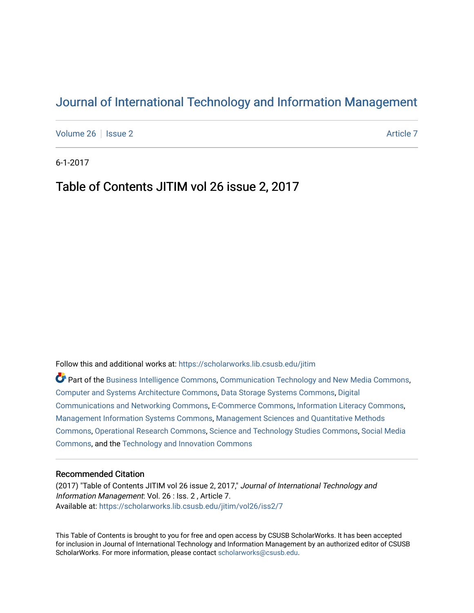## [Journal of International Technology and Information Management](https://scholarworks.lib.csusb.edu/jitim)

[Volume 26](https://scholarworks.lib.csusb.edu/jitim/vol26) | [Issue 2](https://scholarworks.lib.csusb.edu/jitim/vol26/iss2) [Article 7](https://scholarworks.lib.csusb.edu/jitim/vol26/iss2/7) Article 7 Article 7 Article 7 Article 7 Article 7 Article 7

6-1-2017

## Table of Contents JITIM vol 26 issue 2, 2017

Follow this and additional works at: [https://scholarworks.lib.csusb.edu/jitim](https://scholarworks.lib.csusb.edu/jitim?utm_source=scholarworks.lib.csusb.edu%2Fjitim%2Fvol26%2Fiss2%2F7&utm_medium=PDF&utm_campaign=PDFCoverPages) 

Part of the [Business Intelligence Commons,](http://network.bepress.com/hgg/discipline/1326?utm_source=scholarworks.lib.csusb.edu%2Fjitim%2Fvol26%2Fiss2%2F7&utm_medium=PDF&utm_campaign=PDFCoverPages) [Communication Technology and New Media Commons,](http://network.bepress.com/hgg/discipline/327?utm_source=scholarworks.lib.csusb.edu%2Fjitim%2Fvol26%2Fiss2%2F7&utm_medium=PDF&utm_campaign=PDFCoverPages) [Computer and Systems Architecture Commons](http://network.bepress.com/hgg/discipline/259?utm_source=scholarworks.lib.csusb.edu%2Fjitim%2Fvol26%2Fiss2%2F7&utm_medium=PDF&utm_campaign=PDFCoverPages), [Data Storage Systems Commons](http://network.bepress.com/hgg/discipline/261?utm_source=scholarworks.lib.csusb.edu%2Fjitim%2Fvol26%2Fiss2%2F7&utm_medium=PDF&utm_campaign=PDFCoverPages), [Digital](http://network.bepress.com/hgg/discipline/262?utm_source=scholarworks.lib.csusb.edu%2Fjitim%2Fvol26%2Fiss2%2F7&utm_medium=PDF&utm_campaign=PDFCoverPages) [Communications and Networking Commons](http://network.bepress.com/hgg/discipline/262?utm_source=scholarworks.lib.csusb.edu%2Fjitim%2Fvol26%2Fiss2%2F7&utm_medium=PDF&utm_campaign=PDFCoverPages), [E-Commerce Commons](http://network.bepress.com/hgg/discipline/624?utm_source=scholarworks.lib.csusb.edu%2Fjitim%2Fvol26%2Fiss2%2F7&utm_medium=PDF&utm_campaign=PDFCoverPages), [Information Literacy Commons,](http://network.bepress.com/hgg/discipline/1243?utm_source=scholarworks.lib.csusb.edu%2Fjitim%2Fvol26%2Fiss2%2F7&utm_medium=PDF&utm_campaign=PDFCoverPages) [Management Information Systems Commons,](http://network.bepress.com/hgg/discipline/636?utm_source=scholarworks.lib.csusb.edu%2Fjitim%2Fvol26%2Fiss2%2F7&utm_medium=PDF&utm_campaign=PDFCoverPages) [Management Sciences and Quantitative Methods](http://network.bepress.com/hgg/discipline/637?utm_source=scholarworks.lib.csusb.edu%2Fjitim%2Fvol26%2Fiss2%2F7&utm_medium=PDF&utm_campaign=PDFCoverPages) [Commons](http://network.bepress.com/hgg/discipline/637?utm_source=scholarworks.lib.csusb.edu%2Fjitim%2Fvol26%2Fiss2%2F7&utm_medium=PDF&utm_campaign=PDFCoverPages), [Operational Research Commons](http://network.bepress.com/hgg/discipline/308?utm_source=scholarworks.lib.csusb.edu%2Fjitim%2Fvol26%2Fiss2%2F7&utm_medium=PDF&utm_campaign=PDFCoverPages), [Science and Technology Studies Commons,](http://network.bepress.com/hgg/discipline/435?utm_source=scholarworks.lib.csusb.edu%2Fjitim%2Fvol26%2Fiss2%2F7&utm_medium=PDF&utm_campaign=PDFCoverPages) [Social Media](http://network.bepress.com/hgg/discipline/1249?utm_source=scholarworks.lib.csusb.edu%2Fjitim%2Fvol26%2Fiss2%2F7&utm_medium=PDF&utm_campaign=PDFCoverPages) [Commons](http://network.bepress.com/hgg/discipline/1249?utm_source=scholarworks.lib.csusb.edu%2Fjitim%2Fvol26%2Fiss2%2F7&utm_medium=PDF&utm_campaign=PDFCoverPages), and the [Technology and Innovation Commons](http://network.bepress.com/hgg/discipline/644?utm_source=scholarworks.lib.csusb.edu%2Fjitim%2Fvol26%2Fiss2%2F7&utm_medium=PDF&utm_campaign=PDFCoverPages) 

## Recommended Citation

(2017) "Table of Contents JITIM vol 26 issue 2, 2017," Journal of International Technology and Information Management: Vol. 26 : Iss. 2 , Article 7. Available at: [https://scholarworks.lib.csusb.edu/jitim/vol26/iss2/7](https://scholarworks.lib.csusb.edu/jitim/vol26/iss2/7?utm_source=scholarworks.lib.csusb.edu%2Fjitim%2Fvol26%2Fiss2%2F7&utm_medium=PDF&utm_campaign=PDFCoverPages) 

This Table of Contents is brought to you for free and open access by CSUSB ScholarWorks. It has been accepted for inclusion in Journal of International Technology and Information Management by an authorized editor of CSUSB ScholarWorks. For more information, please contact [scholarworks@csusb.edu.](mailto:scholarworks@csusb.edu)